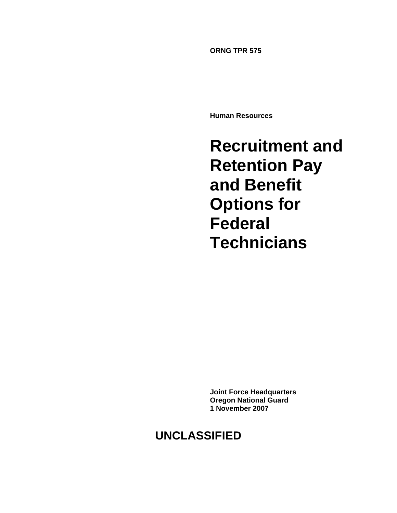**ORNG TPR 575** 

**Human Resources** 

**Recruitment and Retention Pay and Benefit Options for Federal Technicians**

**Joint Force Headquarters Oregon National Guard 1 November 2007** 

# **UNCLASSIFIED**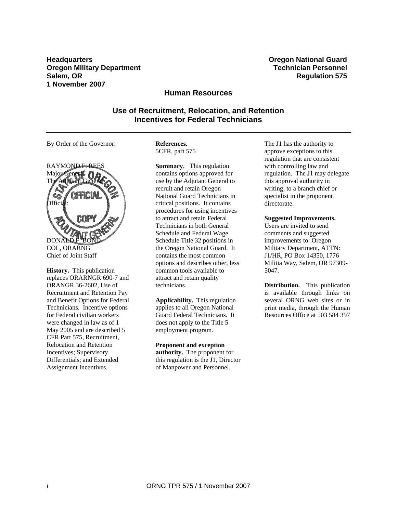**Headquarters Oregon National Guard Oregon Military Department Construction Personnel According Technician Personnel in the Construction Personnel in the Construction Personnel in the Construction Personnel in the Construction Personnel in the Construction Salem, OR 8 CONSIDERING CONSIDERING CONSIDERING CONSIDERING CONSIDERING CONSIDERING CONSIDERING CONSIDERING CONSIDERING CONSIDERING CONSIDERING CONSIDERING CONSIDERING CONSIDERING CONSIDERING CONSIDERING CONSIDERING CON 1 November 2007** 

# **Human Resources**

**Use of Recruitment, Relocation, and Retention Incentives for Federal Technicians** 

By Order of the Governor:



**History.** This publication replaces ORARNGR 690-7 and ORANGR 36-2602, Use of Recruitment and Retention Pay and Benefit Options for Federal Technicians. Incentive options for Federal civilian workers were changed in law as of 1 May 2005 and are described 5 CFR Part 575, Recruitment, Relocation and Retention Incentives; Supervisory Differentials; and Extended Assignment Incentives.

**References.**  5CFR, part 575

**Summary.** This regulation contains options approved for use by the Adjutant General to recruit and retain Oregon National Guard Technicians in critical positions. It contains procedures for using incentives to attract and retain Federal Technicians in both General Schedule and Federal Wage Schedule Title 32 positions in the Oregon National Guard. It contains the most common options and describes other, less common tools available to attract and retain quality technicians.

**Applicability.** This regulation applies to all Oregon National Guard Federal Technicians. It does not apply to the Title 5 employment program.

#### **Proponent and exception**

**authority.** The proponent for this regulation is the J1, Director of Manpower and Personnel.

The J1 has the authority to approve exceptions to this regulation that are consistent with controlling law and regulation. The J1 may delegate this approval authority in writing, to a branch chief or specialist in the proponent directorate.

#### **Suggested Improvements.**

Users are invited to send comments and suggested improvements to: Oregon Military Department, ATTN: J1/HR, PO Box 14350, 1776 Militia Way, Salem, OR 97309- 5047.

**Distribution.** This publication is available through links on several ORNG web sites or in print media, through the Human Resources Office at 503 584 397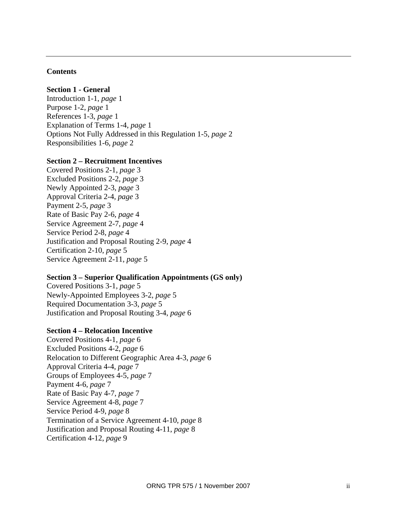#### **Contents**

# **Section 1 - General**

Introduction 1-1, *page* 1 Purpose 1-2, *page* 1 References 1-3, *page* 1 Explanation of Terms 1-4, *page* 1 Options Not Fully Addressed in this Regulation 1-5, *page* 2 Responsibilities 1-6, *page* 2

#### **Section 2 – Recruitment Incentives**

Covered Positions 2-1, *page* 3 Excluded Positions 2-2, *page* 3 Newly Appointed 2-3, *page* 3 Approval Criteria 2-4, *page* 3 Payment 2-5, *page* 3 Rate of Basic Pay 2-6, *page* 4 Service Agreement 2-7, *page* 4 Service Period 2-8, *page* 4 Justification and Proposal Routing 2-9, *page* 4 Certification 2-10, *page* 5 Service Agreement 2-11, *page* 5

#### **Section 3 – Superior Qualification Appointments (GS only)**

Covered Positions 3-1, *page* 5 Newly-Appointed Employees 3-2, *page* 5 Required Documentation 3-3, *page* 5 Justification and Proposal Routing 3-4, *page* 6

#### **Section 4 – Relocation Incentive**

Covered Positions 4-1, *page* 6 Excluded Positions 4-2, *page* 6 Relocation to Different Geographic Area 4-3, *page* 6 Approval Criteria 4-4, *page* 7 Groups of Employees 4-5, *page* 7 Payment 4-6, *page* 7 Rate of Basic Pay 4-7, *page* 7 Service Agreement 4-8, *page* 7 Service Period 4-9, *page* 8 Termination of a Service Agreement 4-10, *page* 8 Justification and Proposal Routing 4-11, *page* 8 Certification 4-12, *page* 9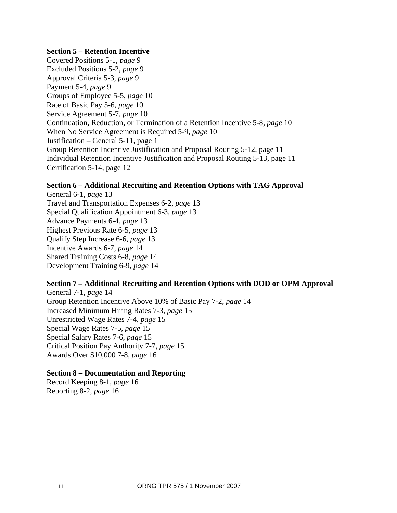#### **Section 5 – Retention Incentive**

Covered Positions 5-1, *page* 9 Excluded Positions 5-2, *page* 9 Approval Criteria 5-3, *page* 9 Payment 5-4, *page* 9 Groups of Employee 5-5, *page* 10 Rate of Basic Pay 5-6, *page* 10 Service Agreement 5-7, *page* 10 Continuation, Reduction, or Termination of a Retention Incentive 5-8, *page* 10 When No Service Agreement is Required 5-9, *page* 10 Justification – General 5-11, page 1 Group Retention Incentive Justification and Proposal Routing 5-12, page 11 Individual Retention Incentive Justification and Proposal Routing 5-13, page 11 Certification 5-14, page 12

## **Section 6 – Additional Recruiting and Retention Options with TAG Approval**

General 6-1, *page* 13 Travel and Transportation Expenses 6-2, *page* 13 Special Qualification Appointment 6-3, *page* 13 Advance Payments 6-4, *page* 13 Highest Previous Rate 6-5, *page* 13 Qualify Step Increase 6-6, *page* 13 Incentive Awards 6-7, *page* 14 Shared Training Costs 6-8, *page* 14 Development Training 6-9, *page* 14

# **Section 7 – Additional Recruiting and Retention Options with DOD or OPM Approval**

General 7-1, *page* 14 Group Retention Incentive Above 10% of Basic Pay 7-2, *page* 14 Increased Minimum Hiring Rates 7-3, *page* 15 Unrestricted Wage Rates 7-4, *page* 15 Special Wage Rates 7-5, *page* 15 Special Salary Rates 7-6, *page* 15 Critical Position Pay Authority 7-7, *page* 15 Awards Over \$10,000 7-8, *page* 16

## **Section 8 – Documentation and Reporting**

Record Keeping 8-1, *page* 16 Reporting 8-2, *page* 16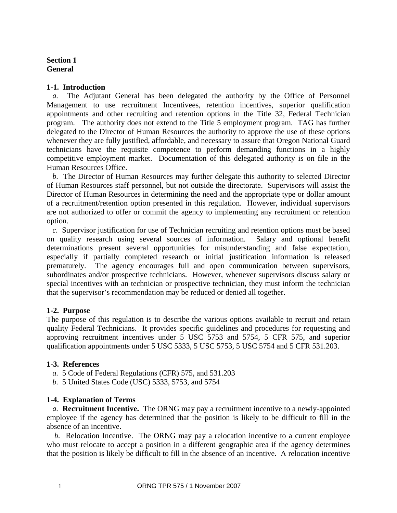# **Section 1 General**

# **1-1. Introduction**

*a.* The Adjutant General has been delegated the authority by the Office of Personnel Management to use recruitment Incentivees, retention incentives, superior qualification appointments and other recruiting and retention options in the Title 32, Federal Technician program. The authority does not extend to the Title 5 employment program. TAG has further delegated to the Director of Human Resources the authority to approve the use of these options whenever they are fully justified, affordable, and necessary to assure that Oregon National Guard technicians have the requisite competence to perform demanding functions in a highly competitive employment market. Documentation of this delegated authority is on file in the Human Resources Office.

*b.* The Director of Human Resources may further delegate this authority to selected Director of Human Resources staff personnel, but not outside the directorate. Supervisors will assist the Director of Human Resources in determining the need and the appropriate type or dollar amount of a recruitment/retention option presented in this regulation. However, individual supervisors are not authorized to offer or commit the agency to implementing any recruitment or retention option.

*c.* Supervisor justification for use of Technician recruiting and retention options must be based on quality research using several sources of information. Salary and optional benefit determinations present several opportunities for misunderstanding and false expectation, especially if partially completed research or initial justification information is released prematurely. The agency encourages full and open communication between supervisors, subordinates and/or prospective technicians. However, whenever supervisors discuss salary or special incentives with an technician or prospective technician, they must inform the technician that the supervisor's recommendation may be reduced or denied all together.

# **1-2. Purpose**

The purpose of this regulation is to describe the various options available to recruit and retain quality Federal Technicians. It provides specific guidelines and procedures for requesting and approving recruitment incentives under 5 USC 5753 and 5754, 5 CFR 575, and superior qualification appointments under 5 USC 5333, 5 USC 5753, 5 USC 5754 and 5 CFR 531.203.

## **1-3. References**

- *a.* 5 Code of Federal Regulations (CFR) 575, and 531.203
- *b.* 5 United States Code (USC) 5333, 5753, and 5754

## **1-4. Explanation of Terms**

*a.* **Recruitment Incentive.** The ORNG may pay a recruitment incentive to a newly-appointed employee if the agency has determined that the position is likely to be difficult to fill in the absence of an incentive.

*b.* Relocation Incentive. The ORNG may pay a relocation incentive to a current employee who must relocate to accept a position in a different geographic area if the agency determines that the position is likely be difficult to fill in the absence of an incentive. A relocation incentive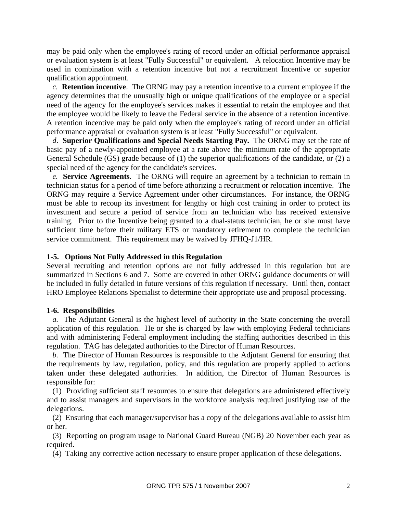may be paid only when the employee's rating of record under an official performance appraisal or evaluation system is at least "Fully Successful" or equivalent. A relocation Incentive may be used in combination with a retention incentive but not a recruitment Incentive or superior qualification appointment.

*c.* **Retention incentive**. The ORNG may pay a retention incentive to a current employee if the agency determines that the unusually high or unique qualifications of the employee or a special need of the agency for the employee's services makes it essential to retain the employee and that the employee would be likely to leave the Federal service in the absence of a retention incentive. A retention incentive may be paid only when the employee's rating of record under an official performance appraisal or evaluation system is at least "Fully Successful" or equivalent.

*d*. **Superior Qualifications and Special Needs Starting Pay.** The ORNG may set the rate of basic pay of a newly-appointed employee at a rate above the minimum rate of the appropriate General Schedule (GS) grade because of (1) the superior qualifications of the candidate, or (2) a special need of the agency for the candidate's services.

*e.* **Service Agreements**. The ORNG will require an agreement by a technician to remain in technician status for a period of time before athorizing a recruitment or relocation incentive. The ORNG may require a Service Agreement under other circumstances. For instance, the ORNG must be able to recoup its investment for lengthy or high cost training in order to protect its investment and secure a period of service from an technician who has received extensive training. Prior to the Incentive being granted to a dual-status technician, he or she must have sufficient time before their military ETS or mandatory retirement to complete the technician service commitment. This requirement may be waived by JFHQ-J1/HR.

## **1-5. Options Not Fully Addressed in this Regulation**

Several recruiting and retention options are not fully addressed in this regulation but are summarized in Sections 6 and 7. Some are covered in other ORNG guidance documents or will be included in fully detailed in future versions of this regulation if necessary. Until then, contact HRO Employee Relations Specialist to determine their appropriate use and proposal processing.

#### **1-6. Responsibilities**

*a.* The Adjutant General is the highest level of authority in the State concerning the overall application of this regulation. He or she is charged by law with employing Federal technicians and with administering Federal employment including the staffing authorities described in this regulation. TAG has delegated authorities to the Director of Human Resources.

*b.* The Director of Human Resources is responsible to the Adjutant General for ensuring that the requirements by law, regulation, policy, and this regulation are properly applied to actions taken under these delegated authorities. In addition, the Director of Human Resources is responsible for:

(1) Providing sufficient staff resources to ensure that delegations are administered effectively and to assist managers and supervisors in the workforce analysis required justifying use of the delegations.

(2) Ensuring that each manager/supervisor has a copy of the delegations available to assist him or her.

(3) Reporting on program usage to National Guard Bureau (NGB) 20 November each year as required.

(4) Taking any corrective action necessary to ensure proper application of these delegations.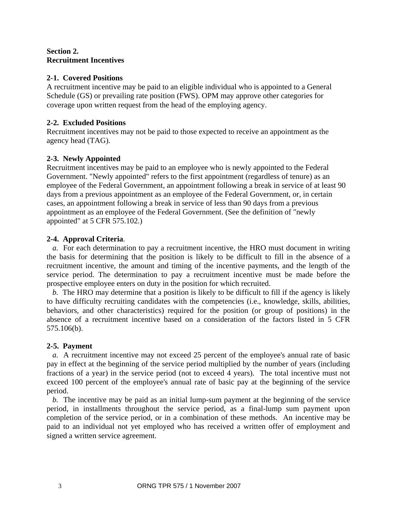# **Section 2. Recruitment Incentives**

# **2-1. Covered Positions**

A recruitment incentive may be paid to an eligible individual who is appointed to a General Schedule (GS) or prevailing rate position (FWS). OPM may approve other categories for coverage upon written request from the head of the employing agency.

# **2-2. Excluded Positions**

Recruitment incentives may not be paid to those expected to receive an appointment as the agency head (TAG).

# **2-3. Newly Appointed**

Recruitment incentives may be paid to an employee who is newly appointed to the Federal Government. "Newly appointed" refers to the first appointment (regardless of tenure) as an employee of the Federal Government, an appointment following a break in service of at least 90 days from a previous appointment as an employee of the Federal Government, or, in certain cases, an appointment following a break in service of less than 90 days from a previous appointment as an employee of the Federal Government. (See the definition of "newly appointed" at 5 CFR 575.102.)

# **2-4. Approval Criteria**.

*a.* For each determination to pay a recruitment incentive, the HRO must document in writing the basis for determining that the position is likely to be difficult to fill in the absence of a recruitment incentive, the amount and timing of the incentive payments, and the length of the service period. The determination to pay a recruitment incentive must be made before the prospective employee enters on duty in the position for which recruited.

*b.* The HRO may determine that a position is likely to be difficult to fill if the agency is likely to have difficulty recruiting candidates with the competencies (i.e., knowledge, skills, abilities, behaviors, and other characteristics) required for the position (or group of positions) in the absence of a recruitment incentive based on a consideration of the factors listed in 5 CFR 575.106(b).

# **2-5. Payment**

*a.* A recruitment incentive may not exceed 25 percent of the employee's annual rate of basic pay in effect at the beginning of the service period multiplied by the number of years (including fractions of a year) in the service period (not to exceed 4 years). The total incentive must not exceed 100 percent of the employee's annual rate of basic pay at the beginning of the service period.

*b.* The incentive may be paid as an initial lump-sum payment at the beginning of the service period, in installments throughout the service period, as a final-lump sum payment upon completion of the service period, or in a combination of these methods. An incentive may be paid to an individual not yet employed who has received a written offer of employment and signed a written service agreement.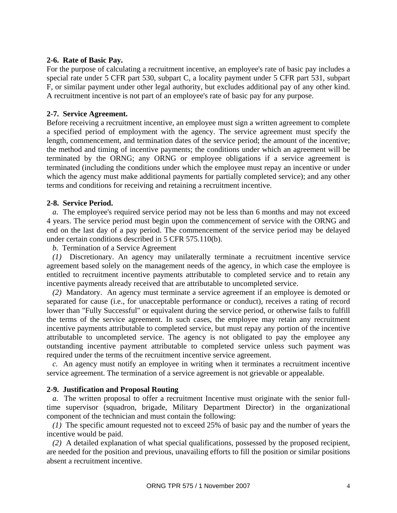# **2-6. Rate of Basic Pay.**

For the purpose of calculating a recruitment incentive, an employee's rate of basic pay includes a special rate under 5 CFR part 530, subpart C, a locality payment under 5 CFR part 531, subpart F, or similar payment under other legal authority, but excludes additional pay of any other kind. A recruitment incentive is not part of an employee's rate of basic pay for any purpose.

# **2-7. Service Agreement.**

Before receiving a recruitment incentive, an employee must sign a written agreement to complete a specified period of employment with the agency. The service agreement must specify the length, commencement, and termination dates of the service period; the amount of the incentive; the method and timing of incentive payments; the conditions under which an agreement will be terminated by the ORNG; any ORNG or employee obligations if a service agreement is terminated (including the conditions under which the employee must repay an incentive or under which the agency must make additional payments for partially completed service); and any other terms and conditions for receiving and retaining a recruitment incentive.

# **2-8. Service Period.**

*a.* The employee's required service period may not be less than 6 months and may not exceed 4 years. The service period must begin upon the commencement of service with the ORNG and end on the last day of a pay period. The commencement of the service period may be delayed under certain conditions described in 5 CFR 575.110(b).

#### *b.* Termination of a Service Agreement

*(1)* Discretionary. An agency may unilaterally terminate a recruitment incentive service agreement based solely on the management needs of the agency, in which case the employee is entitled to recruitment incentive payments attributable to completed service and to retain any incentive payments already received that are attributable to uncompleted service.

*(2)* Mandatory. An agency must terminate a service agreement if an employee is demoted or separated for cause (i.e., for unacceptable performance or conduct), receives a rating of record lower than "Fully Successful" or equivalent during the service period, or otherwise fails to fulfill the terms of the service agreement. In such cases, the employee may retain any recruitment incentive payments attributable to completed service, but must repay any portion of the incentive attributable to uncompleted service. The agency is not obligated to pay the employee any outstanding incentive payment attributable to completed service unless such payment was required under the terms of the recruitment incentive service agreement.

*c.* An agency must notify an employee in writing when it terminates a recruitment incentive service agreement. The termination of a service agreement is not grievable or appealable.

## **2-9. Justification and Proposal Routing**

*a.* The written proposal to offer a recruitment Incentive must originate with the senior fulltime supervisor (squadron, brigade, Military Department Director) in the organizational component of the technician and must contain the following:

*(1)* The specific amount requested not to exceed 25% of basic pay and the number of years the incentive would be paid.

*(2)* A detailed explanation of what special qualifications, possessed by the proposed recipient, are needed for the position and previous, unavailing efforts to fill the position or similar positions absent a recruitment incentive.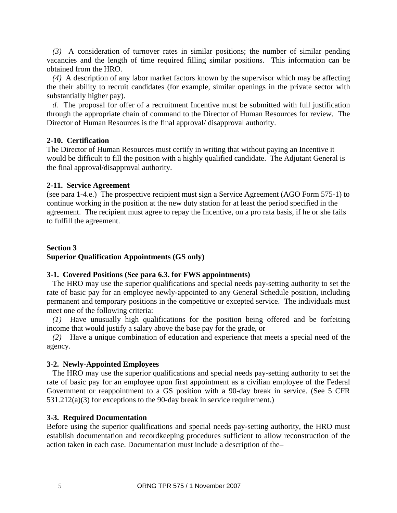*(3)* A consideration of turnover rates in similar positions; the number of similar pending vacancies and the length of time required filling similar positions. This information can be obtained from the HRO.

*(4)* A description of any labor market factors known by the supervisor which may be affecting the their ability to recruit candidates (for example, similar openings in the private sector with substantially higher pay).

*d.* The proposal for offer of a recruitment Incentive must be submitted with full justification through the appropriate chain of command to the Director of Human Resources for review. The Director of Human Resources is the final approval/ disapproval authority.

# **2-10. Certification**

The Director of Human Resources must certify in writing that without paying an Incentive it would be difficult to fill the position with a highly qualified candidate. The Adjutant General is the final approval/disapproval authority.

# **2-11. Service Agreement**

(see para 1-4.e.) The prospective recipient must sign a Service Agreement (AGO Form 575-1) to continue working in the position at the new duty station for at least the period specified in the agreement. The recipient must agree to repay the Incentive, on a pro rata basis, if he or she fails to fulfill the agreement.

# **Section 3 Superior Qualification Appointments (GS only)**

## **3-1. Covered Positions (See para 6.3. for FWS appointments)**

The HRO may use the superior qualifications and special needs pay-setting authority to set the rate of basic pay for an employee newly-appointed to any General Schedule position, including permanent and temporary positions in the competitive or excepted service. The individuals must meet one of the following criteria:

*(1)* Have unusually high qualifications for the position being offered and be forfeiting income that would justify a salary above the base pay for the grade, or

*(2)* Have a unique combination of education and experience that meets a special need of the agency.

## **3-2. Newly-Appointed Employees**

The HRO may use the superior qualifications and special needs pay-setting authority to set the rate of basic pay for an employee upon first appointment as a civilian employee of the Federal Government or reappointment to a GS position with a 90-day break in service. (See 5 CFR 531.212(a)(3) for exceptions to the 90-day break in service requirement.)

## **3-3. Required Documentation**

Before using the superior qualifications and special needs pay-setting authority, the HRO must establish documentation and recordkeeping procedures sufficient to allow reconstruction of the action taken in each case. Documentation must include a description of the–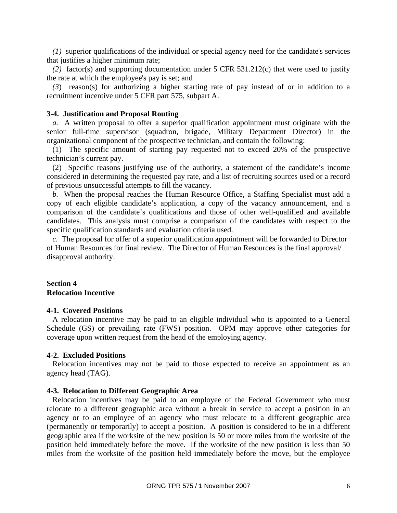*(1)* superior qualifications of the individual or special agency need for the candidate's services that justifies a higher minimum rate;

*(2)* factor(s) and supporting documentation under 5 CFR 531.212(c) that were used to justify the rate at which the employee's pay is set; and

*(3*) reason(s) for authorizing a higher starting rate of pay instead of or in addition to a recruitment incentive under 5 CFR part 575, subpart A.

#### **3-4. Justification and Proposal Routing**

*a.* A written proposal to offer a superior qualification appointment must originate with the senior full-time supervisor (squadron, brigade, Military Department Director) in the organizational component of the prospective technician, and contain the following:

(1) The specific amount of starting pay requested not to exceed 20% of the prospective technician's current pay.

(2) Specific reasons justifying use of the authority, a statement of the candidate's income considered in determining the requested pay rate, and a list of recruiting sources used or a record of previous unsuccessful attempts to fill the vacancy.

*b.* When the proposal reaches the Human Resource Office, a Staffing Specialist must add a copy of each eligible candidate's application, a copy of the vacancy announcement, and a comparison of the candidate's qualifications and those of other well-qualified and available candidates. This analysis must comprise a comparison of the candidates with respect to the specific qualification standards and evaluation criteria used.

 *c.* The proposal for offer of a superior qualification appointment will be forwarded to Director of Human Resources for final review. The Director of Human Resources is the final approval/ disapproval authority.

#### **Section 4 Relocation Incentive**

#### **4-1. Covered Positions**

A relocation incentive may be paid to an eligible individual who is appointed to a General Schedule (GS) or prevailing rate (FWS) position. OPM may approve other categories for coverage upon written request from the head of the employing agency.

#### **4-2. Excluded Positions**

Relocation incentives may not be paid to those expected to receive an appointment as an agency head (TAG).

#### **4-3. Relocation to Different Geographic Area**

Relocation incentives may be paid to an employee of the Federal Government who must relocate to a different geographic area without a break in service to accept a position in an agency or to an employee of an agency who must relocate to a different geographic area (permanently or temporarily) to accept a position. A position is considered to be in a different geographic area if the worksite of the new position is 50 or more miles from the worksite of the position held immediately before the move. If the worksite of the new position is less than 50 miles from the worksite of the position held immediately before the move, but the employee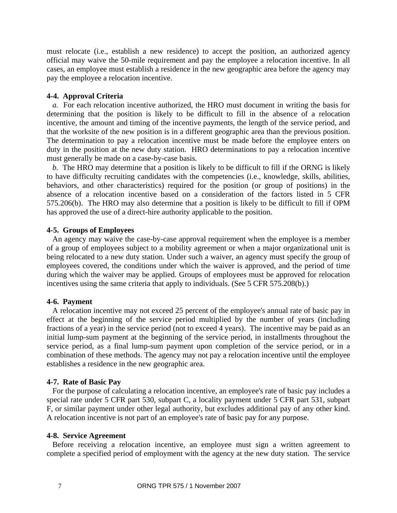must relocate (i.e., establish a new residence) to accept the position, an authorized agency official may waive the 50-mile requirement and pay the employee a relocation incentive. In all cases, an employee must establish a residence in the new geographic area before the agency may pay the employee a relocation incentive.

#### **4-4. Approval Criteria**

*a.* For each relocation incentive authorized, the HRO must document in writing the basis for determining that the position is likely to be difficult to fill in the absence of a relocation incentive, the amount and timing of the incentive payments, the length of the service period, and that the worksite of the new position is in a different geographic area than the previous position. The determination to pay a relocation incentive must be made before the employee enters on duty in the position at the new duty station. HRO determinations to pay a relocation incentive must generally be made on a case-by-case basis.

*b.* The HRO may determine that a position is likely to be difficult to fill if the ORNG is likely to have difficulty recruiting candidates with the competencies (i.e., knowledge, skills, abilities, behaviors, and other characteristics) required for the position (or group of positions) in the absence of a relocation incentive based on a consideration of the factors listed in 5 CFR 575.206(b). The HRO may also determine that a position is likely to be difficult to fill if OPM has approved the use of a direct-hire authority applicable to the position.

#### **4-5. Groups of Employees**

An agency may waive the case-by-case approval requirement when the employee is a member of a group of employees subject to a mobility agreement or when a major organizational unit is being relocated to a new duty station. Under such a waiver, an agency must specify the group of employees covered, the conditions under which the waiver is approved, and the period of time during which the waiver may be applied. Groups of employees must be approved for relocation incentives using the same criteria that apply to individuals. (See 5 CFR 575.208(b).)

#### **4-6. Payment**

A relocation incentive may not exceed 25 percent of the employee's annual rate of basic pay in effect at the beginning of the service period multiplied by the number of years (including fractions of a year) in the service period (not to exceed 4 years). The incentive may be paid as an initial lump-sum payment at the beginning of the service period, in installments throughout the service period, as a final lump-sum payment upon completion of the service period, or in a combination of these methods. The agency may not pay a relocation incentive until the employee establishes a residence in the new geographic area.

#### **4-7. Rate of Basic Pay**

For the purpose of calculating a relocation incentive, an employee's rate of basic pay includes a special rate under 5 CFR part 530, subpart C, a locality payment under 5 CFR part 531, subpart F, or similar payment under other legal authority, but excludes additional pay of any other kind. A relocation incentive is not part of an employee's rate of basic pay for any purpose.

#### **4-8. Service Agreement**

Before receiving a relocation incentive, an employee must sign a written agreement to complete a specified period of employment with the agency at the new duty station. The service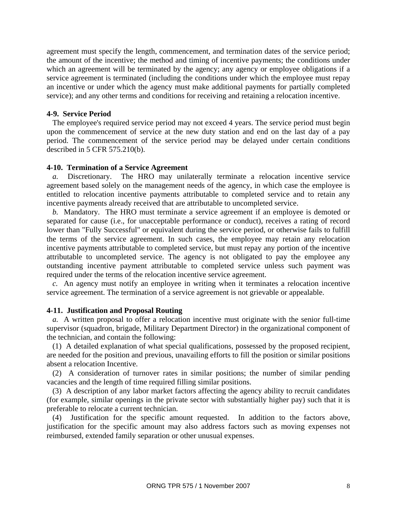agreement must specify the length, commencement, and termination dates of the service period; the amount of the incentive; the method and timing of incentive payments; the conditions under which an agreement will be terminated by the agency; any agency or employee obligations if a service agreement is terminated (including the conditions under which the employee must repay an incentive or under which the agency must make additional payments for partially completed service); and any other terms and conditions for receiving and retaining a relocation incentive.

#### **4-9. Service Period**

The employee's required service period may not exceed 4 years. The service period must begin upon the commencement of service at the new duty station and end on the last day of a pay period. The commencement of the service period may be delayed under certain conditions described in 5 CFR 575.210(b).

#### **4-10. Termination of a Service Agreement**

*a.* Discretionary. The HRO may unilaterally terminate a relocation incentive service agreement based solely on the management needs of the agency, in which case the employee is entitled to relocation incentive payments attributable to completed service and to retain any incentive payments already received that are attributable to uncompleted service.

*b.* Mandatory. The HRO must terminate a service agreement if an employee is demoted or separated for cause (i.e., for unacceptable performance or conduct), receives a rating of record lower than "Fully Successful" or equivalent during the service period, or otherwise fails to fulfill the terms of the service agreement. In such cases, the employee may retain any relocation incentive payments attributable to completed service, but must repay any portion of the incentive attributable to uncompleted service. The agency is not obligated to pay the employee any outstanding incentive payment attributable to completed service unless such payment was required under the terms of the relocation incentive service agreement.

*c.* An agency must notify an employee in writing when it terminates a relocation incentive service agreement. The termination of a service agreement is not grievable or appealable.

#### **4-11. Justification and Proposal Routing**

*a.* A written proposal to offer a relocation incentive must originate with the senior full-time supervisor (squadron, brigade, Military Department Director) in the organizational component of the technician, and contain the following:

(1) A detailed explanation of what special qualifications, possessed by the proposed recipient, are needed for the position and previous, unavailing efforts to fill the position or similar positions absent a relocation Incentive.

(2) A consideration of turnover rates in similar positions; the number of similar pending vacancies and the length of time required filling similar positions.

(3) A description of any labor market factors affecting the agency ability to recruit candidates (for example, similar openings in the private sector with substantially higher pay) such that it is preferable to relocate a current technician.

(4) Justification for the specific amount requested. In addition to the factors above, justification for the specific amount may also address factors such as moving expenses not reimbursed, extended family separation or other unusual expenses.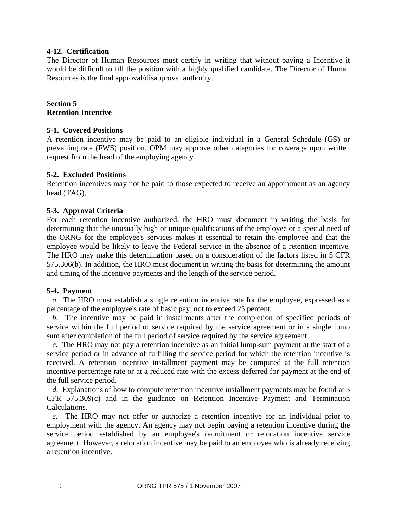### **4-12. Certification**

The Director of Human Resources must certify in writing that without paying a Incentive it would be difficult to fill the position with a highly qualified candidate. The Director of Human Resources is the final approval/disapproval authority.

# **Section 5 Retention Incentive**

#### **5-1. Covered Positions**

A retention incentive may be paid to an eligible individual in a General Schedule (GS) or prevailing rate (FWS) position. OPM may approve other categories for coverage upon written request from the head of the employing agency.

#### **5-2. Excluded Positions**

Retention incentives may not be paid to those expected to receive an appointment as an agency head (TAG).

## **5-3. Approval Criteria**

For each retention incentive authorized, the HRO must document in writing the basis for determining that the unusually high or unique qualifications of the employee or a special need of the ORNG for the employee's services makes it essential to retain the employee and that the employee would be likely to leave the Federal service in the absence of a retention incentive. The HRO may make this determination based on a consideration of the factors listed in 5 CFR 575.306(b). In addition, the HRO must document in writing the basis for determining the amount and timing of the incentive payments and the length of the service period.

#### **5-4. Payment**

*a.* The HRO must establish a single retention incentive rate for the employee, expressed as a percentage of the employee's rate of basic pay, not to exceed 25 percent.

*b.* The incentive may be paid in installments after the completion of specified periods of service within the full period of service required by the service agreement or in a single lump sum after completion of the full period of service required by the service agreement.

*c.* The HRO may not pay a retention incentive as an initial lump-sum payment at the start of a service period or in advance of fulfilling the service period for which the retention incentive is received. A retention incentive installment payment may be computed at the full retention incentive percentage rate or at a reduced rate with the excess deferred for payment at the end of the full service period.

*d.* Explanations of how to compute retention incentive installment payments may be found at 5 CFR 575.309(c) and in the guidance on [Retention Incentive Payment and Termination](http://opm.gov/oca/pay/HTML/retpaycalc.asp)  [Calculations.](http://opm.gov/oca/pay/HTML/retpaycalc.asp)

*e.* The HRO may not offer or authorize a retention incentive for an individual prior to employment with the agency. An agency may not begin paying a retention incentive during the service period established by an employee's recruitment or relocation incentive service agreement. However, a relocation incentive may be paid to an employee who is already receiving a retention incentive.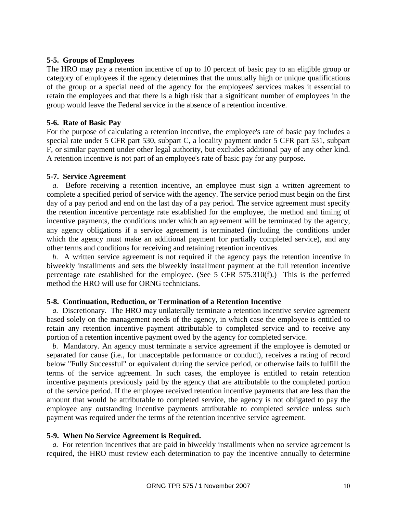#### **5-5. Groups of Employees**

The HRO may pay a retention incentive of up to 10 percent of basic pay to an eligible group or category of employees if the agency determines that the unusually high or unique qualifications of the group or a special need of the agency for the employees' services makes it essential to retain the employees and that there is a high risk that a significant number of employees in the group would leave the Federal service in the absence of a retention incentive.

#### **5-6. Rate of Basic Pay**

For the purpose of calculating a retention incentive, the employee's rate of basic pay includes a special rate under 5 CFR part 530, subpart C, a locality payment under 5 CFR part 531, subpart F, or similar payment under other legal authority, but excludes additional pay of any other kind. A retention incentive is not part of an employee's rate of basic pay for any purpose.

#### **5-7. Service Agreement**

*a.* Before receiving a retention incentive, an employee must sign a written agreement to complete a specified period of service with the agency. The service period must begin on the first day of a pay period and end on the last day of a pay period. The service agreement must specify the retention incentive percentage rate established for the employee, the method and timing of incentive payments, the conditions under which an agreement will be terminated by the agency, any agency obligations if a service agreement is terminated (including the conditions under which the agency must make an additional payment for partially completed service), and any other terms and conditions for receiving and retaining retention incentives.

*b.* A written service agreement is not required if the agency pays the retention incentive in biweekly installments and sets the biweekly installment payment at the full retention incentive percentage rate established for the employee. (See 5 CFR 575.310(f).) This is the perferred method the HRO will use for ORNG technicians.

## **5-8. Continuation, Reduction, or Termination of a Retention Incentive**

*a.* Discretionary. The HRO may unilaterally terminate a retention incentive service agreement based solely on the management needs of the agency, in which case the employee is entitled to retain any retention incentive payment attributable to completed service and to receive any portion of a retention incentive payment owed by the agency for completed service.

*b.* Mandatory. An agency must terminate a service agreement if the employee is demoted or separated for cause (i.e., for unacceptable performance or conduct), receives a rating of record below "Fully Successful" or equivalent during the service period, or otherwise fails to fulfill the terms of the service agreement. In such cases, the employee is entitled to retain retention incentive payments previously paid by the agency that are attributable to the completed portion of the service period. If the employee received retention incentive payments that are less than the amount that would be attributable to completed service, the agency is not obligated to pay the employee any outstanding incentive payments attributable to completed service unless such payment was required under the terms of the retention incentive service agreement.

#### **5-9. When No Service Agreement is Required.**

*a.* For retention incentives that are paid in biweekly installments when no service agreement is required, the HRO must review each determination to pay the incentive annually to determine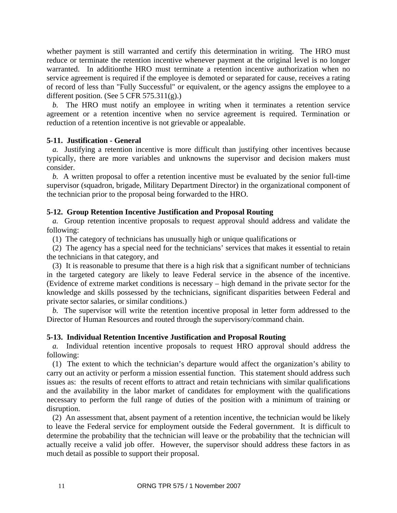whether payment is still warranted and certify this determination in writing. The HRO must reduce or terminate the retention incentive whenever payment at the original level is no longer warranted. In additionthe HRO must terminate a retention incentive authorization when no service agreement is required if the employee is demoted or separated for cause, receives a rating of record of less than "Fully Successful" or equivalent, or the agency assigns the employee to a different position. (See 5 CFR 575.311(g).)

*b.* The HRO must notify an employee in writing when it terminates a retention service agreement or a retention incentive when no service agreement is required. Termination or reduction of a retention incentive is not grievable or appealable.

## **5-11. Justification - General**

*a.* Justifying a retention incentive is more difficult than justifying other incentives because typically, there are more variables and unknowns the supervisor and decision makers must consider.

*b.* A written proposal to offer a retention incentive must be evaluated by the senior full-time supervisor (squadron, brigade, Military Department Director) in the organizational component of the technician prior to the proposal being forwarded to the HRO.

# **5-12. Group Retention Incentive Justification and Proposal Routing**

*a.* Group retention incentive proposals to request approval should address and validate the following:

(1) The category of technicians has unusually high or unique qualifications or

(2) The agency has a special need for the technicians' services that makes it essential to retain the technicians in that category, and

(3) It is reasonable to presume that there is a high risk that a significant number of technicians in the targeted category are likely to leave Federal service in the absence of the incentive. (Evidence of extreme market conditions is necessary – high demand in the private sector for the knowledge and skills possessed by the technicians, significant disparities between Federal and private sector salaries, or similar conditions.)

*b.* The supervisor will write the retention incentive proposal in letter form addressed to the Director of Human Resources and routed through the supervisory/command chain.

## **5-13. Individual Retention Incentive Justification and Proposal Routing**

*a.* Individual retention incentive proposals to request HRO approval should address the following:

(1) The extent to which the technician's departure would affect the organization's ability to carry out an activity or perform a mission essential function. This statement should address such issues as: the results of recent efforts to attract and retain technicians with similar qualifications and the availability in the labor market of candidates for employment with the qualifications necessary to perform the full range of duties of the position with a minimum of training or disruption.

(2) An assessment that, absent payment of a retention incentive, the technician would be likely to leave the Federal service for employment outside the Federal government. It is difficult to determine the probability that the technician will leave or the probability that the technician will actually receive a valid job offer. However, the supervisor should address these factors in as much detail as possible to support their proposal.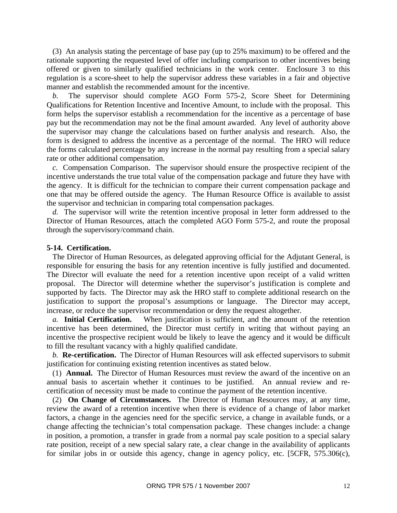(3) An analysis stating the percentage of base pay (up to 25% maximum) to be offered and the rationale supporting the requested level of offer including comparison to other incentives being offered or given to similarly qualified technicians in the work center. Enclosure 3 to this regulation is a score-sheet to help the supervisor address these variables in a fair and objective manner and establish the recommended amount for the incentive.

*b.* The supervisor should complete AGO Form 575-2, Score Sheet for Determining Qualifications for Retention Incentive and Incentive Amount, to include with the proposal. This form helps the supervisor establish a recommendation for the incentive as a percentage of base pay but the recommendation may not be the final amount awarded. Any level of authority above the supervisor may change the calculations based on further analysis and research. Also, the form is designed to address the incentive as a percentage of the normal. The HRO will reduce the forms calculated percentage by any increase in the normal pay resulting from a special salary rate or other additional compensation.

*c.* Compensation Comparison. The supervisor should ensure the prospective recipient of the incentive understands the true total value of the compensation package and future they have with the agency. It is difficult for the technician to compare their current compensation package and one that may be offered outside the agency. The Human Resource Office is available to assist the supervisor and technician in comparing total compensation packages.

*d.* The supervisor will write the retention incentive proposal in letter form addressed to the Director of Human Resources, attach the completed AGO Form 575-2, and route the proposal through the supervisory/command chain.

#### **5-14. Certification.**

The Director of Human Resources, as delegated approving official for the Adjutant General, is responsible for ensuring the basis for any retention incentive is fully justified and documented. The Director will evaluate the need for a retention incentive upon receipt of a valid written proposal. The Director will determine whether the supervisor's justification is complete and supported by facts. The Director may ask the HRO staff to complete additional research on the justification to support the proposal's assumptions or language. The Director may accept, increase, or reduce the supervisor recommendation or deny the request altogether.

*a.* **Initial Certification.** When justification is sufficient, and the amount of the retention incentive has been determined, the Director must certify in writing that without paying an incentive the prospective recipient would be likely to leave the agency and it would be difficult to fill the resultant vacancy with a highly qualified candidate.

*b.* **Re-certification.** The Director of Human Resources will ask effected supervisors to submit justification for continuing existing retention incentives as stated below.

(1) **Annual.** The Director of Human Resources must review the award of the incentive on an annual basis to ascertain whether it continues to be justified. An annual review and recertification of necessity must be made to continue the payment of the retention incentive.

(2) **On Change of Circumstances.** The Director of Human Resources may, at any time, review the award of a retention incentive when there is evidence of a change of labor market factors, a change in the agencies need for the specific service, a change in available funds, or a change affecting the technician's total compensation package. These changes include: a change in position, a promotion, a transfer in grade from a normal pay scale position to a special salary rate position, receipt of a new special salary rate, a clear change in the availability of applicants for similar jobs in or outside this agency, change in agency policy, etc. [5CFR, 575.306(c),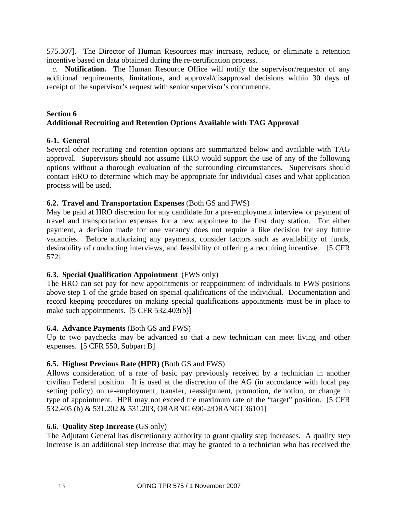575.307]. The Director of Human Resources may increase, reduce, or eliminate a retention incentive based on data obtained during the re-certification process.

*c.* **Notification.** The Human Resource Office will notify the supervisor/requestor of any additional requirements, limitations, and approval/disapproval decisions within 30 days of receipt of the supervisor's request with senior supervisor's concurrence.

# **Section 6 Additional Recruiting and Retention Options Available with TAG Approval**

# **6-1. General**

Several other recruiting and retention options are summarized below and available with TAG approval. Supervisors should not assume HRO would support the use of any of the following options without a thorough evaluation of the surrounding circumstances. Supervisors should contact HRO to determine which may be appropriate for individual cases and what application process will be used.

# **6.2. Travel and Transportation Expenses** (Both GS and FWS)

May be paid at HRO discretion for any candidate for a pre-employment interview or payment of travel and transportation expenses for a new appointee to the first duty station. For either payment, a decision made for one vacancy does not require a like decision for any future vacancies. Before authorizing any payments, consider factors such as availability of funds, desirability of conducting interviews, and feasibility of offering a recruiting incentive. [5 CFR 572]

# **6.3. Special Qualification Appointment** (FWS only)

The HRO can set pay for new appointments or reappointment of individuals to FWS positions above step 1 of the grade based on special qualifications of the individual. Documentation and record keeping procedures on making special qualifications appointments must be in place to make such appointments. [5 CFR 532.403(b)]

## **6.4. Advance Payments** (Both GS and FWS)

Up to two paychecks may be advanced so that a new technician can meet living and other expenses. [5 CFR 550, Subpart B]

# **6.5. Highest Previous Rate (HPR)** (Both GS and FWS)

Allows consideration of a rate of basic pay previously received by a technician in another civilian Federal position. It is used at the discretion of the AG (in accordance with local pay setting policy) on re-employment, transfer, reassignment, promotion, demotion, or change in type of appointment. HPR may not exceed the maximum rate of the "target" position. [5 CFR 532.405 (b) & 531.202 & 531.203, ORARNG 690-2/ORANGI 36101]

## **6.6. Quality Step Increase** (GS only)

The Adjutant General has discretionary authority to grant quality step increases. A quality step increase is an additional step increase that may be granted to a technician who has received the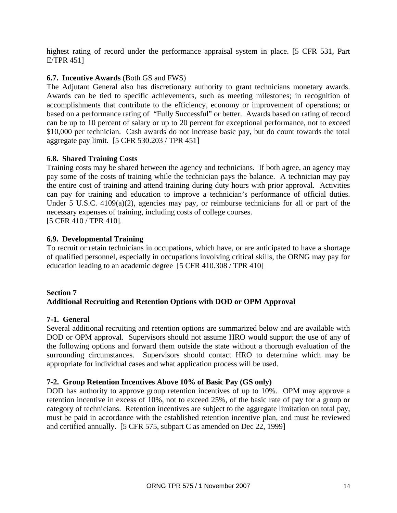highest rating of record under the performance appraisal system in place. [5 CFR 531, Part E/TPR 451]

# **6.7. Incentive Awards** (Both GS and FWS)

The Adjutant General also has discretionary authority to grant technicians monetary awards. Awards can be tied to specific achievements, such as meeting milestones; in recognition of accomplishments that contribute to the efficiency, economy or improvement of operations; or based on a performance rating of "Fully Successful" or better. Awards based on rating of record can be up to 10 percent of salary or up to 20 percent for exceptional performance, not to exceed \$10,000 per technician. Cash awards do not increase basic pay, but do count towards the total aggregate pay limit. [5 CFR 530.203 / TPR 451]

# **6.8. Shared Training Costs**

Training costs may be shared between the agency and technicians. If both agree, an agency may pay some of the costs of training while the technician pays the balance. A technician may pay the entire cost of training and attend training during duty hours with prior approval. Activities can pay for training and education to improve a technician's performance of official duties. Under 5 U.S.C. 4109(a)(2), agencies may pay, or reimburse technicians for all or part of the necessary expenses of training, including costs of college courses. [5 CFR 410 / TPR 410].

# **6.9. Developmental Training**

To recruit or retain technicians in occupations, which have, or are anticipated to have a shortage of qualified personnel, especially in occupations involving critical skills, the ORNG may pay for education leading to an academic degree [5 CFR 410.308 / TPR 410]

## **Section 7 Additional Recruiting and Retention Options with DOD or OPM Approval**

## **7-1. General**

Several additional recruiting and retention options are summarized below and are available with DOD or OPM approval. Supervisors should not assume HRO would support the use of any of the following options and forward them outside the state without a thorough evaluation of the surrounding circumstances. Supervisors should contact HRO to determine which may be appropriate for individual cases and what application process will be used.

# **7-2. Group Retention Incentives Above 10% of Basic Pay (GS only)**

DOD has authority to approve group retention incentives of up to 10%. OPM may approve a retention incentive in excess of 10%, not to exceed 25%, of the basic rate of pay for a group or category of technicians. Retention incentives are subject to the aggregate limitation on total pay, must be paid in accordance with the established retention incentive plan, and must be reviewed and certified annually. [5 CFR 575, subpart C as amended on Dec 22, 1999]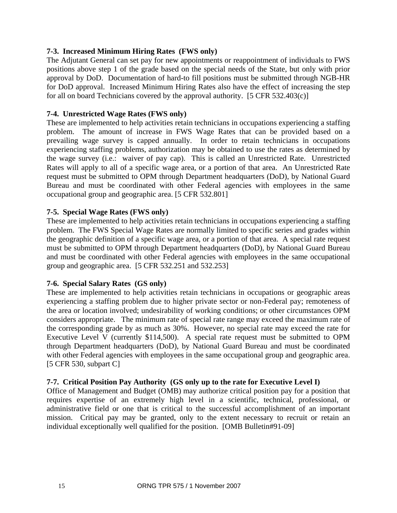# **7-3. Increased Minimum Hiring Rates (FWS only)**

The Adjutant General can set pay for new appointments or reappointment of individuals to FWS positions above step 1 of the grade based on the special needs of the State, but only with prior approval by DoD. Documentation of hard-to fill positions must be submitted through NGB-HR for DoD approval. Increased Minimum Hiring Rates also have the effect of increasing the step for all on board Technicians covered by the approval authority. [5 CFR 532.403(c)]

# **7-4. Unrestricted Wage Rates (FWS only)**

These are implemented to help activities retain technicians in occupations experiencing a staffing problem. The amount of increase in FWS Wage Rates that can be provided based on a prevailing wage survey is capped annually. In order to retain technicians in occupations experiencing staffing problems, authorization may be obtained to use the rates as determined by the wage survey (i.e.: waiver of pay cap). This is called an Unrestricted Rate. Unrestricted Rates will apply to all of a specific wage area, or a portion of that area. An Unrestricted Rate request must be submitted to OPM through Department headquarters (DoD), by National Guard Bureau and must be coordinated with other Federal agencies with employees in the same occupational group and geographic area. [5 CFR 532.801]

# **7-5. Special Wage Rates (FWS only)**

These are implemented to help activities retain technicians in occupations experiencing a staffing problem. The FWS Special Wage Rates are normally limited to specific series and grades within the geographic definition of a specific wage area, or a portion of that area. A special rate request must be submitted to OPM through Department headquarters (DoD), by National Guard Bureau and must be coordinated with other Federal agencies with employees in the same occupational group and geographic area. [5 CFR 532.251 and 532.253]

## **7-6. Special Salary Rates (GS only)**

These are implemented to help activities retain technicians in occupations or geographic areas experiencing a staffing problem due to higher private sector or non-Federal pay; remoteness of the area or location involved; undesirability of working conditions; or other circumstances OPM considers appropriate. The minimum rate of special rate range may exceed the maximum rate of the corresponding grade by as much as 30%. However, no special rate may exceed the rate for Executive Level V (currently \$114,500). A special rate request must be submitted to OPM through Department headquarters (DoD), by National Guard Bureau and must be coordinated with other Federal agencies with employees in the same occupational group and geographic area. [5 CFR 530, subpart C]

## **7-7. Critical Position Pay Authority (GS only up to the rate for Executive Level I)**

Office of Management and Budget (OMB) may authorize critical position pay for a position that requires expertise of an extremely high level in a scientific, technical, professional, or administrative field or one that is critical to the successful accomplishment of an important mission. Critical pay may be granted, only to the extent necessary to recruit or retain an individual exceptionally well qualified for the position. [OMB Bulletin#91-09]